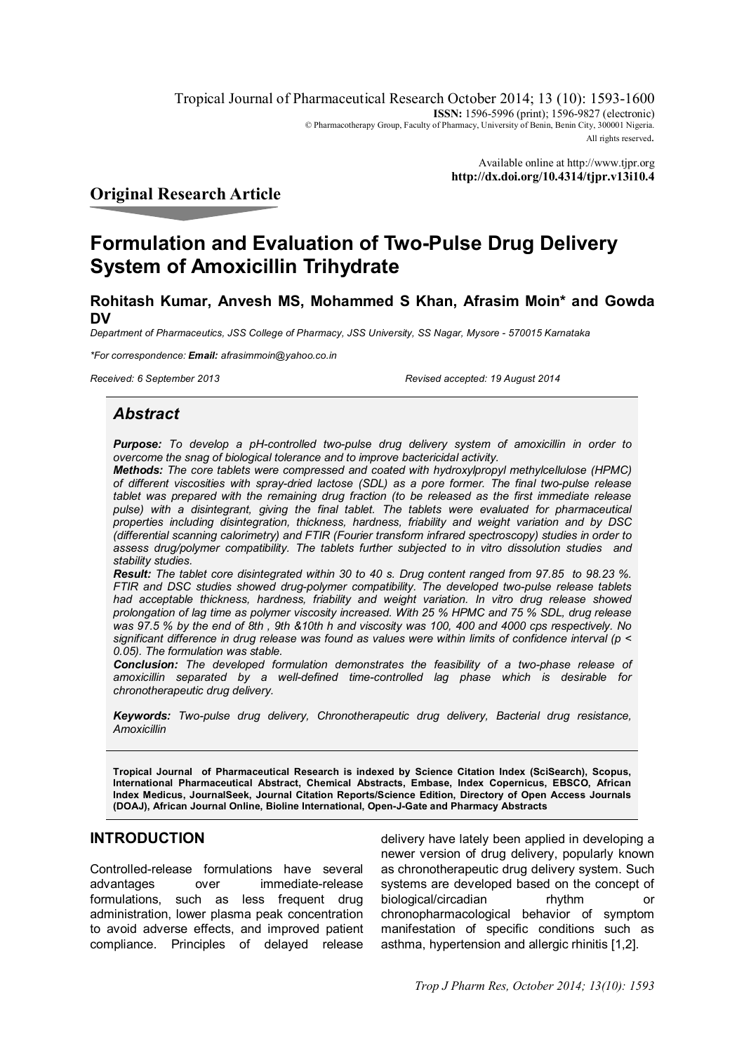Tropical Journal of Pharmaceutical Research October 2014; 13 (10): 1593-1600 **ISSN:** 1596-5996 (print); 1596-9827 (electronic) © Pharmacotherapy Group, Faculty of Pharmacy, University of Benin, Benin City, 300001 Nigeria. All rights reserved.

> Available online at http://www.tjpr.org **http://dx.doi.org/10.4314/tjpr.v13i10.4**

# **Original Research Article**

# **Formulation and Evaluation of Two-Pulse Drug Delivery System of Amoxicillin Trihydrate**

**Rohitash Kumar, Anvesh MS, Mohammed S Khan, Afrasim Moin\* and Gowda DV**

*Department of Pharmaceutics, JSS College of Pharmacy, JSS University, SS Nagar, Mysore - 570015 Karnataka*

*\*For correspondence: Email: afrasimmoin@yahoo.co.in*

*Received: 6 September 2013 Revised accepted: 19 August 2014*

## *Abstract*

*Purpose: To develop a pH-controlled two-pulse drug delivery system of amoxicillin in order to overcome the snag of biological tolerance and to improve bactericidal activity.*

*Methods: The core tablets were compressed and coated with hydroxylpropyl methylcellulose (HPMC) of different viscosities with spray-dried lactose (SDL) as a pore former. The final two-pulse release tablet was prepared with the remaining drug fraction (to be released as the first immediate release*  pulse) with a disintegrant, giving the final tablet. The tablets were evaluated for pharmaceutical *properties including disintegration, thickness, hardness, friability and weight variation and by DSC (differential scanning calorimetry) and FTIR (Fourier transform infrared spectroscopy) studies in order to assess drug/polymer compatibility. The tablets further subjected to in vitro dissolution studies and stability studies.* 

*Result: The tablet core disintegrated within 30 to 40 s. Drug content ranged from 97.85 to 98.23 %. FTIR and DSC studies showed drug-polymer compatibility. The developed two-pulse release tablets had acceptable thickness, hardness, friability and weight variation. In vitro drug release showed prolongation of lag time as polymer viscosity increased. With 25 % HPMC and 75 % SDL, drug release was 97.5 % by the end of 8th , 9th &10th h and viscosity was 100, 400 and 4000 cps respectively. No significant difference in drug release was found as values were within limits of confidence interval (p < 0.05). The formulation was stable.* 

*Conclusion: The developed formulation demonstrates the feasibility of a two-phase release of amoxicillin separated by a well-defined time-controlled lag phase which is desirable for chronotherapeutic drug delivery.* 

*Keywords: Two-pulse drug delivery, Chronotherapeutic drug delivery, Bacterial drug resistance, Amoxicillin*

**Tropical Journal of Pharmaceutical Research is indexed by Science Citation Index (SciSearch), Scopus, International Pharmaceutical Abstract, Chemical Abstracts, Embase, Index Copernicus, EBSCO, African Index Medicus, JournalSeek, Journal Citation Reports/Science Edition, Directory of Open Access Journals (DOAJ), African Journal Online, Bioline International, Open-J-Gate and Pharmacy Abstracts**

## **INTRODUCTION**

Controlled-release formulations have several advantages over immediate-release formulations, such as less frequent drug administration, lower plasma peak concentration to avoid adverse effects, and improved patient compliance. Principles of delayed release

delivery have lately been applied in developing a newer version of drug delivery, popularly known as chronotherapeutic drug delivery system. Such systems are developed based on the concept of biological/circadian rhythm or chronopharmacological behavior of symptom manifestation of specific conditions such as asthma, hypertension and allergic rhinitis [1,2].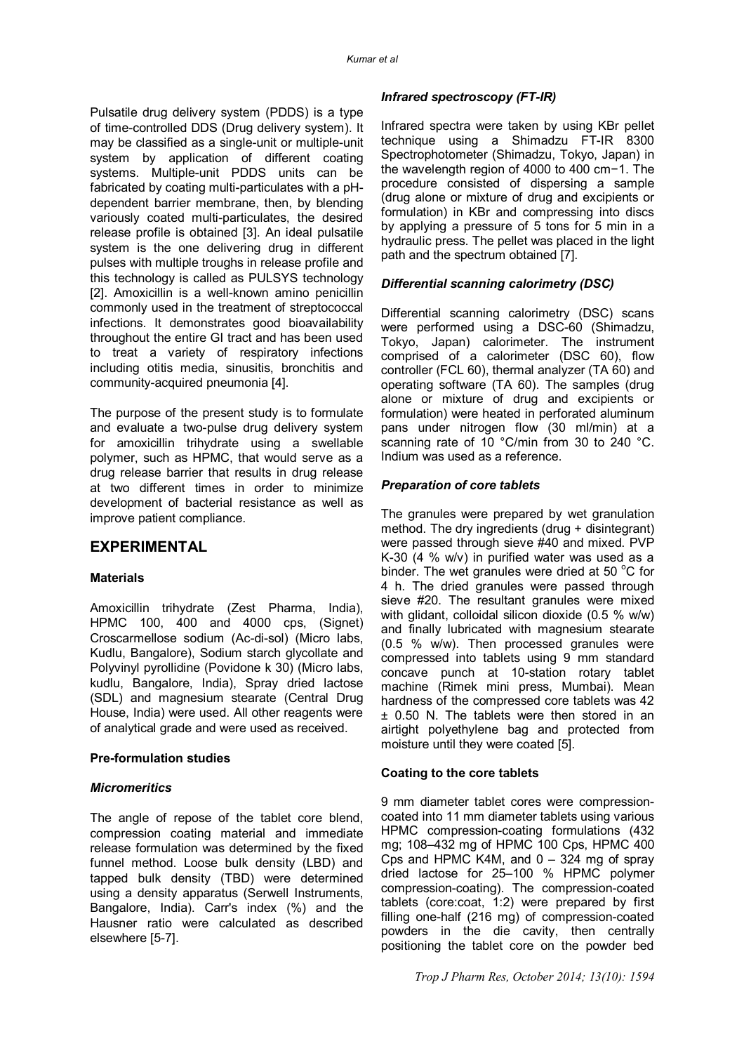Pulsatile drug delivery system (PDDS) is a type of time-controlled DDS (Drug delivery system). It may be classified as a single-unit or multiple-unit system by application of different coating systems. Multiple-unit PDDS units can be fabricated by coating multi-particulates with a pHdependent barrier membrane, then, by blending variously coated multi-particulates, the desired release profile is obtained [3]. An ideal pulsatile system is the one delivering drug in different pulses with multiple troughs in release profile and this technology is called as PULSYS technology [2]. Amoxicillin is a well-known amino penicillin commonly used in the treatment of streptococcal infections. It demonstrates good bioavailability throughout the entire GI tract and has been used to treat a variety of respiratory infections including otitis media, sinusitis, bronchitis and community-acquired pneumonia [4].

The purpose of the present study is to formulate and evaluate a two-pulse drug delivery system for amoxicillin trihydrate using a swellable polymer, such as HPMC, that would serve as a drug release barrier that results in drug release at two different times in order to minimize development of bacterial resistance as well as improve patient compliance.

## **EXPERIMENTAL**

#### **Materials**

Amoxicillin trihydrate (Zest Pharma, India), HPMC 100, 400 and 4000 cps, (Signet) Croscarmellose sodium (Ac-di-sol) (Micro labs, Kudlu, Bangalore), Sodium starch glycollate and Polyvinyl pyrollidine (Povidone k 30) (Micro labs, kudlu, Bangalore, India), Spray dried lactose (SDL) and magnesium stearate (Central Drug House, India) were used. All other reagents were of analytical grade and were used as received.

#### **Pre-formulation studies**

#### *Micromeritics*

The angle of repose of the tablet core blend, compression coating material and immediate release formulation was determined by the fixed funnel method. Loose bulk density (LBD) and tapped bulk density (TBD) were determined using a density apparatus (Serwell Instruments, Bangalore, India). Carr's index (%) and the Hausner ratio were calculated as described elsewhere [5-7].

#### *Infrared spectroscopy (FT-IR)*

Infrared spectra were taken by using KBr pellet technique using a Shimadzu FT-IR 8300 Spectrophotometer (Shimadzu, Tokyo, Japan) in the wavelength region of 4000 to 400 cm−1. The procedure consisted of dispersing a sample (drug alone or mixture of drug and excipients or formulation) in KBr and compressing into discs by applying a pressure of 5 tons for 5 min in a hydraulic press. The pellet was placed in the light path and the spectrum obtained [7].

#### *Differential scanning calorimetry (DSC)*

Differential scanning calorimetry (DSC) scans were performed using a DSC-60 (Shimadzu, Tokyo, Japan) calorimeter. The instrument comprised of a calorimeter (DSC 60), flow controller (FCL 60), thermal analyzer (TA 60) and operating software (TA 60). The samples (drug alone or mixture of drug and excipients or formulation) were heated in perforated aluminum pans under nitrogen flow (30 ml/min) at a scanning rate of 10 °C/min from 30 to 240 °C. Indium was used as a reference.

#### *Preparation of core tablets*

The granules were prepared by wet granulation method. The dry ingredients (drug + disintegrant) were passed through sieve #40 and mixed. PVP K-30 (4 % w/v) in purified water was used as a binder. The wet granules were dried at 50  $^{\circ}$ C for 4 h. The dried granules were passed through sieve #20. The resultant granules were mixed with glidant, colloidal silicon dioxide (0.5 % w/w) and finally lubricated with magnesium stearate (0.5 % w/w). Then processed granules were compressed into tablets using 9 mm standard concave punch at 10-station rotary tablet machine (Rimek mini press, Mumbai). Mean hardness of the compressed core tablets was 42 ± 0.50 N. The tablets were then stored in an airtight polyethylene bag and protected from moisture until they were coated [5].

#### **Coating to the core tablets**

9 mm diameter tablet cores were compressioncoated into 11 mm diameter tablets using various HPMC compression-coating formulations (432 mg; 108–432 mg of HPMC 100 Cps, HPMC 400 Cps and HPMC K4M, and  $0 - 324$  mg of spray dried lactose for 25–100 % HPMC polymer compression-coating). The compression-coated tablets (core:coat, 1:2) were prepared by first filling one-half (216 mg) of compression-coated powders in the die cavity, then centrally positioning the tablet core on the powder bed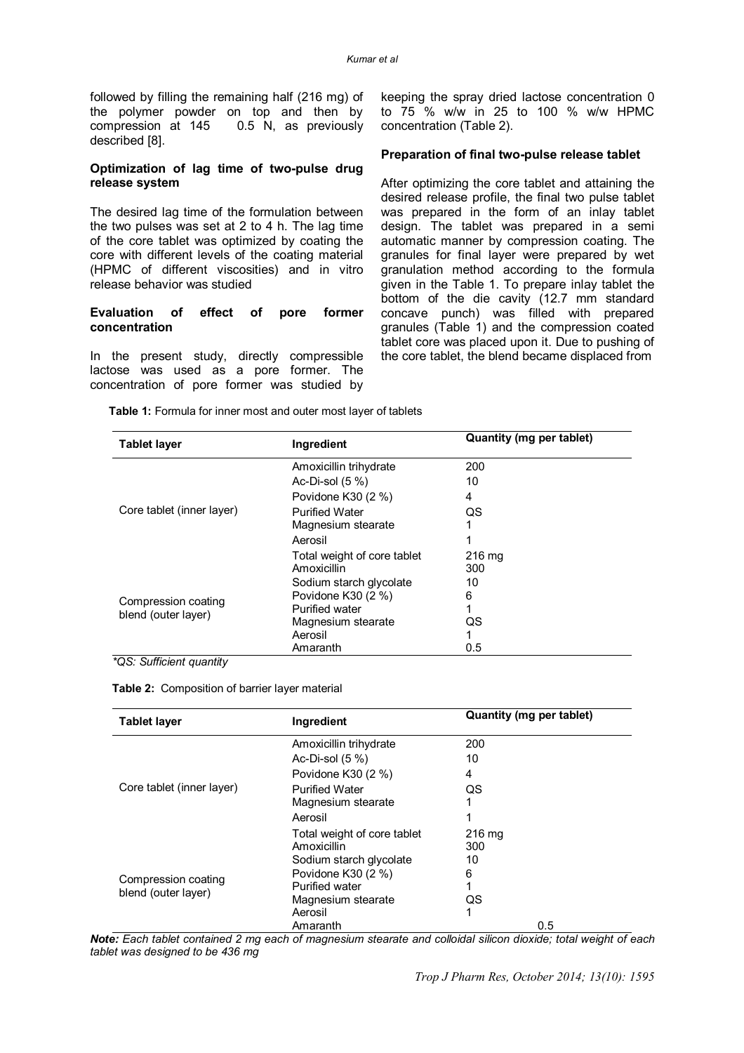followed by filling the remaining half (216 mg) of the polymer powder on top and then by compression at 145 0.5 N, as previously described [8].

#### **Optimization of lag time of two-pulse drug release system**

The desired lag time of the formulation between the two pulses was set at 2 to 4 h. The lag time of the core tablet was optimized by coating the core with different levels of the coating material (HPMC of different viscosities) and in vitro release behavior was studied

#### **Evaluation of effect of pore former concentration**

In the present study, directly compressible lactose was used as a pore former. The concentration of pore former was studied by

keeping the spray dried lactose concentration 0 to 75 % w/w in 25 to 100 % w/w HPMC concentration (Table 2).

#### **Preparation of final two-pulse release tablet**

After optimizing the core tablet and attaining the desired release profile, the final two pulse tablet was prepared in the form of an inlay tablet design. The tablet was prepared in a semi automatic manner by compression coating. The granules for final layer were prepared by wet granulation method according to the formula given in the Table 1. To prepare inlay tablet the bottom of the die cavity (12.7 mm standard concave punch) was filled with prepared granules (Table 1) and the compression coated tablet core was placed upon it. Due to pushing of the core tablet, the blend became displaced from

 **Table 1:** Formula for inner most and outer most layer of tablets

| <b>Tablet layer</b>                        | Ingredient                  | Quantity (mg per tablet) |
|--------------------------------------------|-----------------------------|--------------------------|
| Core tablet (inner layer)                  | Amoxicillin trihydrate      | 200                      |
|                                            | Ac-Di-sol $(5\%)$           | 10                       |
|                                            | Povidone K30 (2 %)          | 4                        |
|                                            | <b>Purified Water</b>       | QS                       |
|                                            | Magnesium stearate          |                          |
|                                            | Aerosil                     |                          |
|                                            | Total weight of core tablet | $216 \text{ ma}$         |
| Compression coating<br>blend (outer layer) | Amoxicillin                 | 300                      |
|                                            | Sodium starch glycolate     | 10                       |
|                                            | Povidone K30 (2 %)          | 6                        |
|                                            | <b>Purified water</b>       |                          |
|                                            | Magnesium stearate          | QS                       |
|                                            | Aerosil                     |                          |
|                                            | Amaranth                    | 0.5                      |

 *\*QS: Sufficient quantity*

 **Table 2:** Composition of barrier layer material

| <b>Tablet layer</b>                        | Ingredient                  | Quantity (mg per tablet) |
|--------------------------------------------|-----------------------------|--------------------------|
|                                            | Amoxicillin trihydrate      | 200                      |
|                                            | Ac-Di-sol $(5\%)$           | 10                       |
| Core tablet (inner layer)                  | Povidone K30 (2 %)          | 4                        |
|                                            | <b>Purified Water</b>       | QS                       |
|                                            | Magnesium stearate          |                          |
|                                            | Aerosil                     |                          |
|                                            | Total weight of core tablet | $216 \text{ ma}$         |
| Compression coating<br>blend (outer layer) | Amoxicillin                 | 300                      |
|                                            | Sodium starch glycolate     | 10                       |
|                                            | Povidone K30 (2 %)          | 6                        |
|                                            | <b>Purified water</b>       |                          |
|                                            | Magnesium stearate          | QS                       |
|                                            | Aerosil                     |                          |
|                                            | Amaranth                    | 0.5                      |

*Note: Each tablet contained 2 mg each of magnesium stearate and colloidal silicon dioxide; total weight of each tablet was designed to be 436 mg*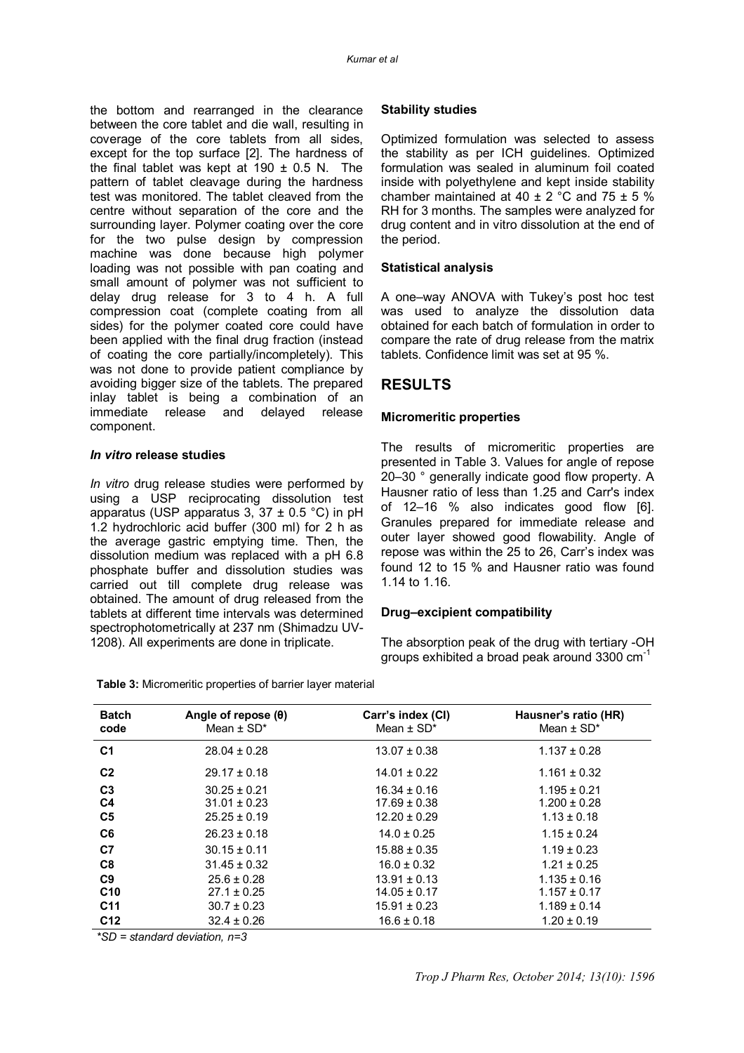the bottom and rearranged in the clearance between the core tablet and die wall, resulting in coverage of the core tablets from all sides, except for the top surface [2]. The hardness of the final tablet was kept at  $190 \pm 0.5$  N. The pattern of tablet cleavage during the hardness test was monitored. The tablet cleaved from the centre without separation of the core and the surrounding layer. Polymer coating over the core for the two pulse design by compression machine was done because high polymer loading was not possible with pan coating and small amount of polymer was not sufficient to delay drug release for 3 to 4 h. A full compression coat (complete coating from all sides) for the polymer coated core could have been applied with the final drug fraction (instead of coating the core partially/incompletely). This was not done to provide patient compliance by avoiding bigger size of the tablets. The prepared inlay tablet is being a combination of an immediate release and delayed release component.

#### *In vitro* **release studies**

*In vitro* drug release studies were performed by using a USP reciprocating dissolution test apparatus (USP apparatus  $3, 37 \pm 0.5$  °C) in pH 1.2 hydrochloric acid buffer (300 ml) for 2 h as the average gastric emptying time. Then, the dissolution medium was replaced with a pH 6.8 phosphate buffer and dissolution studies was carried out till complete drug release was obtained. The amount of drug released from the tablets at different time intervals was determined spectrophotometrically at 237 nm (Shimadzu UV-1208). All experiments are done in triplicate.

 **Table 3:** Micromeritic properties of barrier layer material

#### **Stability studies**

Optimized formulation was selected to assess the stability as per ICH guidelines. Optimized formulation was sealed in aluminum foil coated inside with polyethylene and kept inside stability chamber maintained at  $40 \pm 2$  °C and  $75 \pm 5$  % RH for 3 months. The samples were analyzed for drug content and in vitro dissolution at the end of the period.

#### **Statistical analysis**

A one–way ANOVA with Tukey's post hoc test was used to analyze the dissolution data obtained for each batch of formulation in order to compare the rate of drug release from the matrix tablets. Confidence limit was set at 95 %.

## **RESULTS**

#### **Micromeritic properties**

The results of micromeritic properties are presented in Table 3. Values for angle of repose 20–30 ° generally indicate good flow property. A Hausner ratio of less than 1.25 and Carr's index of 12–16 % also indicates good flow [6]. Granules prepared for immediate release and outer layer showed good flowability. Angle of repose was within the 25 to 26, Carr's index was found 12 to 15 % and Hausner ratio was found 1.14 to 1.16.

#### **Drug–excipient compatibility**

The absorption peak of the drug with tertiary -OH groups exhibited a broad peak around 3300 cm-1

| <b>Batch</b><br>code                               | Angle of repose $(\theta)$<br>Mean $\pm$ SD*             | Carr's index (CI)<br>Mean $\pm$ SD*                      | Hausner's ratio (HR)<br>Mean $\pm$ SD <sup>*</sup>      |
|----------------------------------------------------|----------------------------------------------------------|----------------------------------------------------------|---------------------------------------------------------|
| C <sub>1</sub>                                     | $28.04 \pm 0.28$                                         | $13.07 \pm 0.38$                                         | $1.137 \pm 0.28$                                        |
| C <sub>2</sub>                                     | $29.17 \pm 0.18$                                         | $14.01 \pm 0.22$                                         | $1.161 \pm 0.32$                                        |
| C <sub>3</sub><br>C <sub>4</sub><br>C <sub>5</sub> | $30.25 \pm 0.21$<br>$31.01 \pm 0.23$<br>$25.25 \pm 0.19$ | $16.34 \pm 0.16$<br>$17.69 \pm 0.38$<br>$12.20 \pm 0.29$ | $1.195 \pm 0.21$<br>$1.200 \pm 0.28$<br>$1.13 \pm 0.18$ |
| C <sub>6</sub>                                     | $26.23 \pm 0.18$                                         | $14.0 \pm 0.25$                                          | $1.15 \pm 0.24$                                         |
| C <sub>7</sub>                                     | $30.15 \pm 0.11$                                         | $15.88 \pm 0.35$                                         | $1.19 \pm 0.23$                                         |
| C <sub>8</sub>                                     | $31.45 \pm 0.32$                                         | $16.0 \pm 0.32$                                          | $1.21 \pm 0.25$                                         |
| C <sub>9</sub><br>C10                              | $25.6 \pm 0.28$<br>$27.1 \pm 0.25$                       | $13.91 \pm 0.13$<br>$14.05 \pm 0.17$                     | $1.135 \pm 0.16$<br>$1.157 \pm 0.17$                    |
| C <sub>11</sub>                                    | $30.7 \pm 0.23$                                          | $15.91 \pm 0.23$                                         | $1.189 \pm 0.14$                                        |
| C <sub>12</sub>                                    | $32.4 \pm 0.26$                                          | $16.6 \pm 0.18$                                          | $1.20 \pm 0.19$                                         |

 *\*SD = standard deviation, n=3*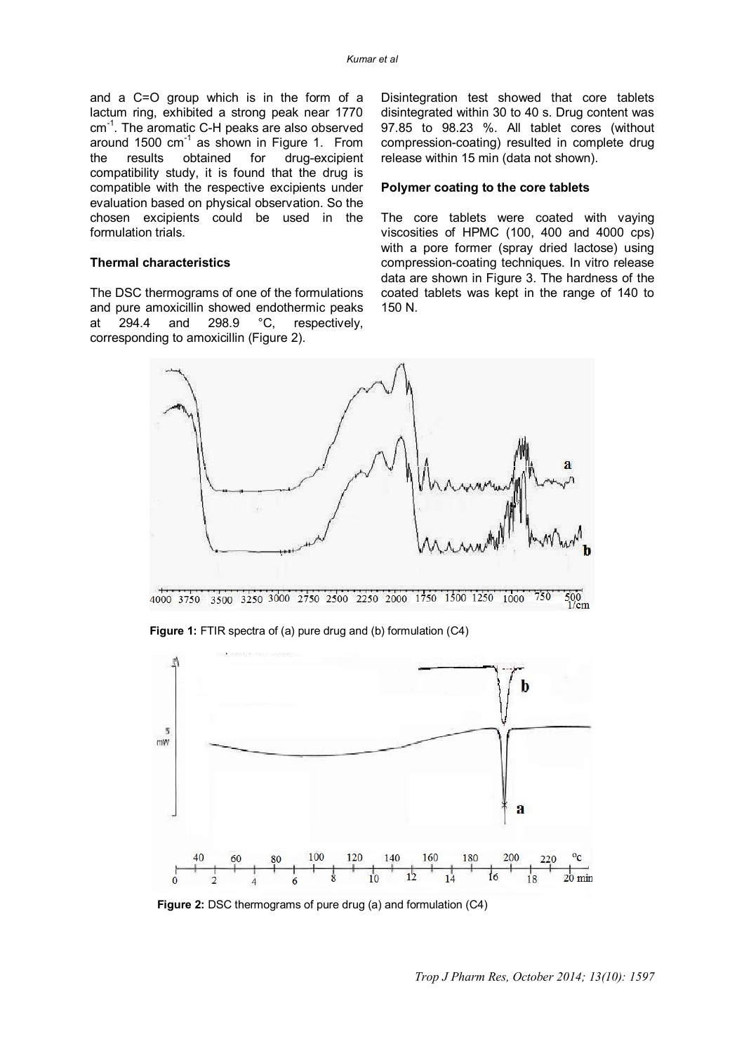and a C=O group which is in the form of a lactum ring, exhibited a strong peak near 1770 cm<sup>-1</sup>. The aromatic C-H peaks are also observed around 1500  $cm^{-1}$  as shown in Figure 1. From the results obtained for drug-excipient compatibility study, it is found that the drug is compatible with the respective excipients under evaluation based on physical observation. So the chosen excipients could be used in the formulation trials.

#### **Thermal characteristics**

The DSC thermograms of one of the formulations and pure amoxicillin showed endothermic peaks at 294.4 and 298.9 °C, respectively, corresponding to amoxicillin (Figure 2).

Disintegration test showed that core tablets disintegrated within 30 to 40 s. Drug content was 97.85 to 98.23 %. All tablet cores (without compression-coating) resulted in complete drug release within 15 min (data not shown).

#### **Polymer coating to the core tablets**

The core tablets were coated with vaying viscosities of HPMC (100, 400 and 4000 cps) with a pore former (spray dried lactose) using compression-coating techniques. In vitro release data are shown in Figure 3. The hardness of the coated tablets was kept in the range of 140 to 150 N.



**Figure 1:** FTIR spectra of (a) pure drug and (b) formulation (C4)



**Figure 2: DSC thermograms of pure drug (a) and formulation (C4)**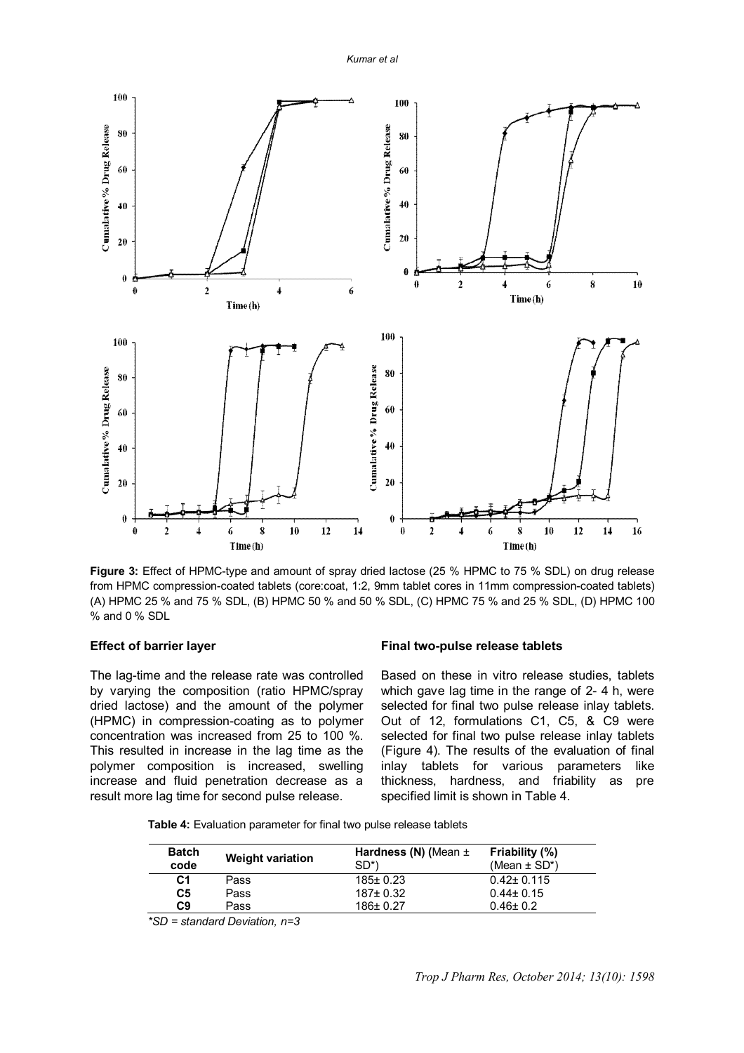*Kumar et al*



**Figure 3:** Effect of HPMC-type and amount of spray dried lactose (25 % HPMC to 75 % SDL) on drug release from HPMC compression-coated tablets (core:coat, 1:2, 9mm tablet cores in 11mm compression-coated tablets) (A) HPMC 25 % and 75 % SDL, (B) HPMC 50 % and 50 % SDL, (C) HPMC 75 % and 25 % SDL, (D) HPMC 100 % and 0 % SDL

#### **Effect of barrier layer**

The lag-time and the release rate was controlled by varying the composition (ratio HPMC/spray dried lactose) and the amount of the polymer (HPMC) in compression-coating as to polymer concentration was increased from 25 to 100 %. This resulted in increase in the lag time as the polymer composition is increased, swelling increase and fluid penetration decrease as a result more lag time for second pulse release.

#### **Final two-pulse release tablets**

Based on these in vitro release studies, tablets which gave lag time in the range of 2-4 h, were selected for final two pulse release inlay tablets. Out of 12, formulations C1, C5, & C9 were selected for final two pulse release inlay tablets (Figure 4). The results of the evaluation of final<br>inlay tablets for various parameters like inlay tablets for various parameters like thickness, hardness, and friability as pre specified limit is shown in Table 4.

 **Table 4:** Evaluation parameter for final two pulse release tablets

| Batch<br>code  | <b>Weight variation</b> | Hardness (N) (Mean $\pm$<br>SD*) | Friability (%)<br>(Mean $\pm$ SD*) |
|----------------|-------------------------|----------------------------------|------------------------------------|
| C <sub>1</sub> | Pass                    | $185 \pm 0.23$                   | $0.42 \pm 0.115$                   |
| C <sub>5</sub> | Pass                    | $187 + 0.32$                     | $0.44 \pm 0.15$                    |
| C <sub>9</sub> | Pass                    | 186± 0.27                        | $0.46 \pm 0.2$                     |

 *\*SD = standard Deviation, n=3*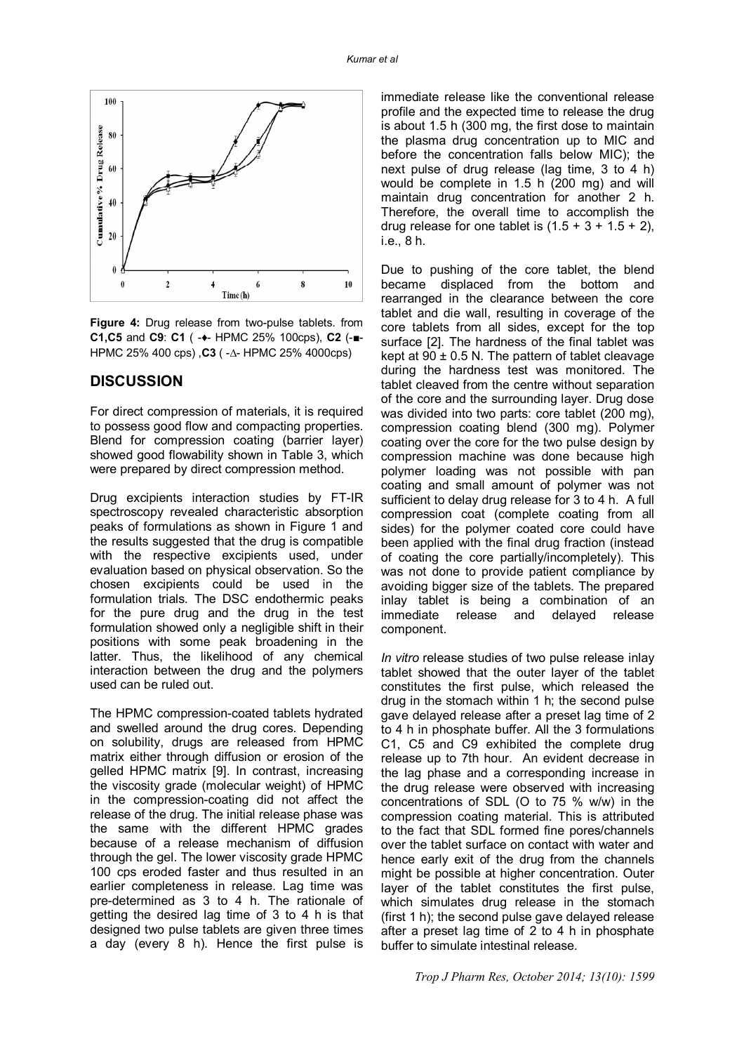

**Figure 4:** Drug release from two-pulse tablets. from **C1,C5** and **C9**: **C1** ( -♦- HPMC 25% 100cps), **C2** (-■- HPMC 25% 400 cps) ,**C3** ( -∆- HPMC 25% 4000cps)

## **DISCUSSION**

For direct compression of materials, it is required to possess good flow and compacting properties. Blend for compression coating (barrier layer) showed good flowability shown in Table 3, which were prepared by direct compression method.

Drug excipients interaction studies by FT-IR spectroscopy revealed characteristic absorption peaks of formulations as shown in Figure 1 and the results suggested that the drug is compatible with the respective excipients used, under evaluation based on physical observation. So the chosen excipients could be used in the formulation trials. The DSC endothermic peaks for the pure drug and the drug in the test formulation showed only a negligible shift in their positions with some peak broadening in the latter. Thus, the likelihood of any chemical interaction between the drug and the polymers used can be ruled out.

The HPMC compression-coated tablets hydrated and swelled around the drug cores. Depending on solubility, drugs are released from HPMC matrix either through diffusion or erosion of the gelled HPMC matrix [9]. In contrast, increasing the viscosity grade (molecular weight) of HPMC in the compression-coating did not affect the release of the drug. The initial release phase was the same with the different HPMC grades because of a release mechanism of diffusion through the gel. The lower viscosity grade HPMC 100 cps eroded faster and thus resulted in an earlier completeness in release. Lag time was pre-determined as 3 to 4 h. The rationale of getting the desired lag time of 3 to 4 h is that designed two pulse tablets are given three times a day (every 8 h). Hence the first pulse is

immediate release like the conventional release profile and the expected time to release the drug is about 1.5 h (300 mg, the first dose to maintain the plasma drug concentration up to MIC and before the concentration falls below MIC); the next pulse of drug release (lag time, 3 to 4 h) would be complete in 1.5 h (200 mg) and will maintain drug concentration for another 2 h. Therefore, the overall time to accomplish the drug release for one tablet is  $(1.5 + 3 + 1.5 + 2)$ . i.e., 8 h.

Due to pushing of the core tablet, the blend became displaced from the bottom and rearranged in the clearance between the core tablet and die wall, resulting in coverage of the core tablets from all sides, except for the top surface [2]. The hardness of the final tablet was kept at  $90 \pm 0.5$  N. The pattern of tablet cleavage during the hardness test was monitored. The tablet cleaved from the centre without separation of the core and the surrounding layer. Drug dose was divided into two parts: core tablet (200 mg), compression coating blend (300 mg). Polymer coating over the core for the two pulse design by compression machine was done because high polymer loading was not possible with pan coating and small amount of polymer was not sufficient to delay drug release for 3 to 4 h. A full compression coat (complete coating from all sides) for the polymer coated core could have been applied with the final drug fraction (instead of coating the core partially/incompletely). This was not done to provide patient compliance by avoiding bigger size of the tablets. The prepared inlay tablet is being a combination of an immediate release and component.

*In vitro* release studies of two pulse release inlay tablet showed that the outer layer of the tablet constitutes the first pulse, which released the drug in the stomach within 1 h; the second pulse gave delayed release after a preset lag time of 2 to 4 h in phosphate buffer. All the 3 formulations C1, C5 and C9 exhibited the complete drug release up to 7th hour. An evident decrease in the lag phase and a corresponding increase in the drug release were observed with increasing concentrations of SDL (O to 75 % w/w) in the compression coating material. This is attributed to the fact that SDL formed fine pores/channels over the tablet surface on contact with water and hence early exit of the drug from the channels might be possible at higher concentration. Outer layer of the tablet constitutes the first pulse, which simulates drug release in the stomach (first 1 h); the second pulse gave delayed release after a preset lag time of 2 to 4 h in phosphate buffer to simulate intestinal release.